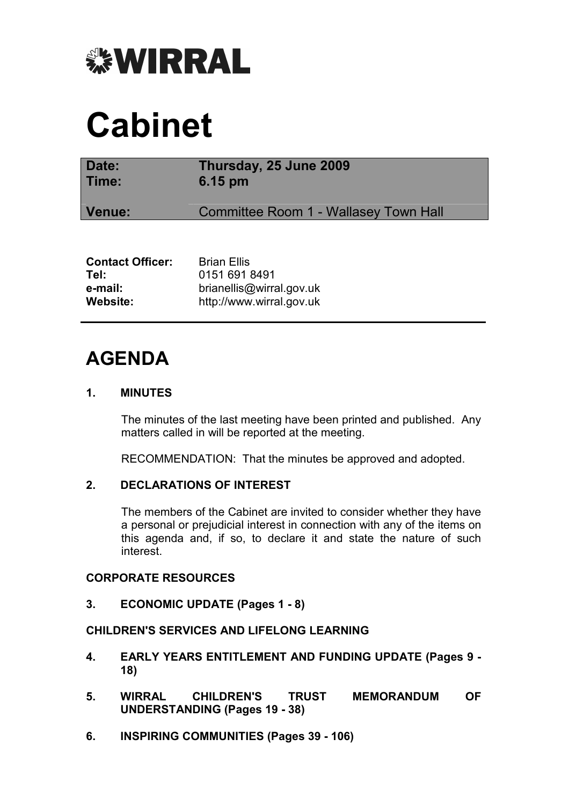

# Cabinet

| Date:<br>Time: | Thursday, 25 June 2009<br>6.15 pm            |
|----------------|----------------------------------------------|
| Venue:         | <b>Committee Room 1 - Wallasey Town Hall</b> |
|                | 6. <b>FILL</b>                               |

| <b>Brian Ellis</b>       |
|--------------------------|
| 0151 691 8491            |
| brianellis@wirral.gov.uk |
| http://www.wirral.gov.uk |
|                          |

# AGENDA

# 1. MINUTES

 The minutes of the last meeting have been printed and published. Any matters called in will be reported at the meeting.

RECOMMENDATION: That the minutes be approved and adopted.

# 2. DECLARATIONS OF INTEREST

 The members of the Cabinet are invited to consider whether they have a personal or prejudicial interest in connection with any of the items on this agenda and, if so, to declare it and state the nature of such interest.

# CORPORATE RESOURCES

3. ECONOMIC UPDATE (Pages 1 - 8)

# CHILDREN'S SERVICES AND LIFELONG LEARNING

- 4. EARLY YEARS ENTITLEMENT AND FUNDING UPDATE (Pages 9 18)
- 5. WIRRAL CHILDREN'S TRUST MEMORANDUM OF UNDERSTANDING (Pages 19 - 38)
- 6. INSPIRING COMMUNITIES (Pages 39 106)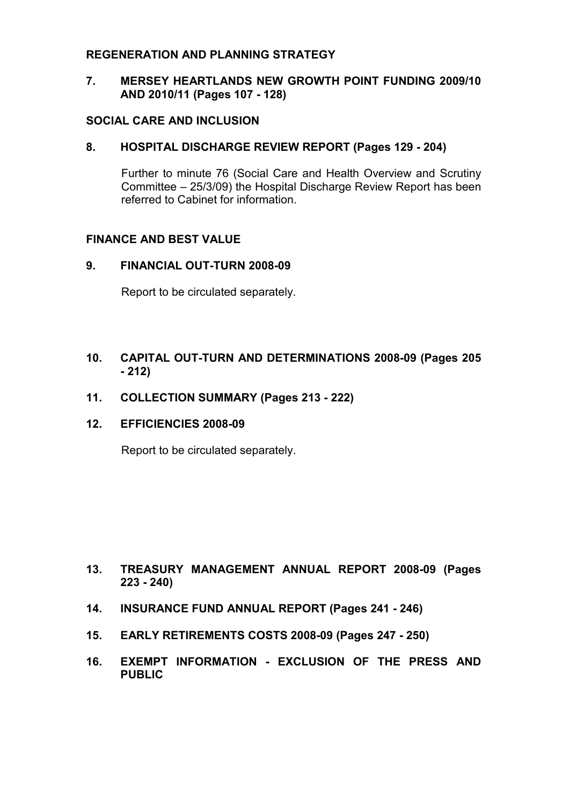# REGENERATION AND PLANNING STRATEGY

# 7. MERSEY HEARTLANDS NEW GROWTH POINT FUNDING 2009/10 AND 2010/11 (Pages 107 - 128)

#### SOCIAL CARE AND INCLUSION

#### 8. HOSPITAL DISCHARGE REVIEW REPORT (Pages 129 - 204)

 Further to minute 76 (Social Care and Health Overview and Scrutiny Committee – 25/3/09) the Hospital Discharge Review Report has been referred to Cabinet for information.

# FINANCE AND BEST VALUE

#### 9. FINANCIAL OUT-TURN 2008-09

Report to be circulated separately.

# 10. CAPITAL OUT-TURN AND DETERMINATIONS 2008-09 (Pages 205 - 212)

#### 11. COLLECTION SUMMARY (Pages 213 - 222)

#### 12. EFFICIENCIES 2008-09

Report to be circulated separately.

# 13. TREASURY MANAGEMENT ANNUAL REPORT 2008-09 (Pages 223 - 240)

- 14. INSURANCE FUND ANNUAL REPORT (Pages 241 246)
- 15. EARLY RETIREMENTS COSTS 2008-09 (Pages 247 250)
- 16. EXEMPT INFORMATION EXCLUSION OF THE PRESS AND PUBLIC